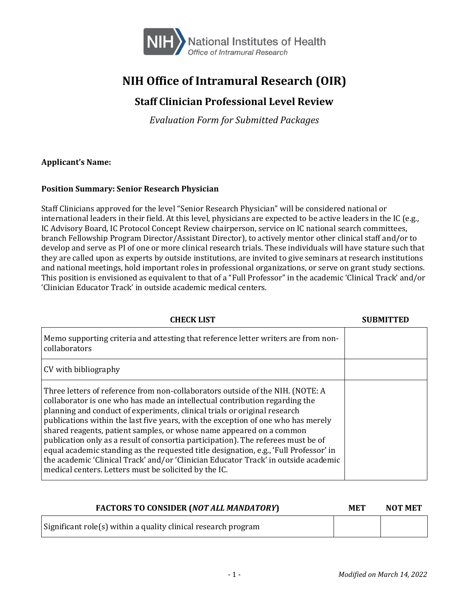

# **NIH Office of Intramural Research (OIR)**

## **Staff Clinician Professional Level Review**

*Evaluation Form for Submitted Packages*

#### **Applicant's Name:**

#### **Position Summary: Senior Research Physician**

Staff Clinicians approved for the level "Senior Research Physician" will be considered national or international leaders in their field. At this level, physicians are expected to be active leaders in the IC (e.g., IC Advisory Board, IC Protocol Concept Review chairperson, service on IC national search committees, branch Fellowship Program Director/Assistant Director), to actively mentor other clinical staff and/or to develop and serve as PI of one or more clinical research trials. These individuals will have stature such that they are called upon as experts by outside institutions, are invited to give seminars at research institutions and national meetings, hold important roles in professional organizations, or serve on grant study sections. This position is envisioned as equivalent to that of a "Full Professor" in the academic 'Clinical Track' and/or 'Clinician Educator Track' in outside academic medical centers.

| CHECK LIST                                                                                                                                                                                                                                                                                                                                                                                                                                                                                                                                                                                                                                                                                                                            |  |
|---------------------------------------------------------------------------------------------------------------------------------------------------------------------------------------------------------------------------------------------------------------------------------------------------------------------------------------------------------------------------------------------------------------------------------------------------------------------------------------------------------------------------------------------------------------------------------------------------------------------------------------------------------------------------------------------------------------------------------------|--|
| Memo supporting criteria and attesting that reference letter writers are from non-<br>collaborators                                                                                                                                                                                                                                                                                                                                                                                                                                                                                                                                                                                                                                   |  |
| CV with bibliography                                                                                                                                                                                                                                                                                                                                                                                                                                                                                                                                                                                                                                                                                                                  |  |
| Three letters of reference from non-collaborators outside of the NIH. (NOTE: A<br>collaborator is one who has made an intellectual contribution regarding the<br>planning and conduct of experiments, clinical trials or original research<br>publications within the last five years, with the exception of one who has merely<br>shared reagents, patient samples, or whose name appeared on a common<br>publication only as a result of consortia participation). The referees must be of<br>equal academic standing as the requested title designation, e.g., 'Full Professor' in<br>the academic 'Clinical Track' and/or 'Clinician Educator Track' in outside academic<br>medical centers. Letters must be solicited by the IC. |  |

| <b>FACTORS TO CONSIDER (NOT ALL MANDATORY)</b>                 | <b>MET</b> | <b>NOT MET</b> |
|----------------------------------------------------------------|------------|----------------|
| Significant role(s) within a quality clinical research program |            |                |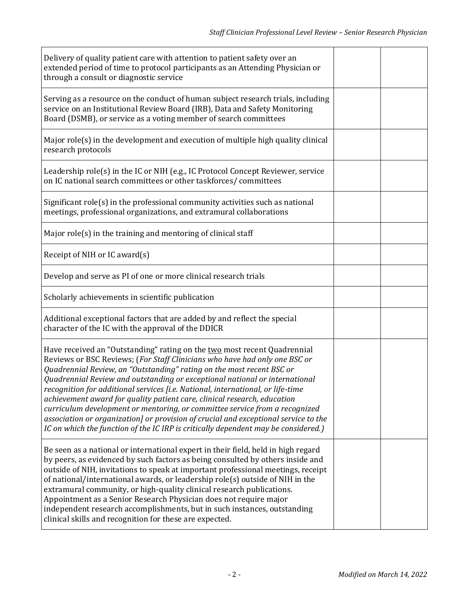| Delivery of quality patient care with attention to patient safety over an<br>extended period of time to protocol participants as an Attending Physician or<br>through a consult or diagnostic service                                                                                                                                                                                                                                                                                                                                                                                                                                                                                                                                     |  |
|-------------------------------------------------------------------------------------------------------------------------------------------------------------------------------------------------------------------------------------------------------------------------------------------------------------------------------------------------------------------------------------------------------------------------------------------------------------------------------------------------------------------------------------------------------------------------------------------------------------------------------------------------------------------------------------------------------------------------------------------|--|
| Serving as a resource on the conduct of human subject research trials, including<br>service on an Institutional Review Board (IRB), Data and Safety Monitoring<br>Board (DSMB), or service as a voting member of search committees                                                                                                                                                                                                                                                                                                                                                                                                                                                                                                        |  |
| Major role(s) in the development and execution of multiple high quality clinical<br>research protocols                                                                                                                                                                                                                                                                                                                                                                                                                                                                                                                                                                                                                                    |  |
| Leadership role(s) in the IC or NIH (e.g., IC Protocol Concept Reviewer, service<br>on IC national search committees or other taskforces/committees                                                                                                                                                                                                                                                                                                                                                                                                                                                                                                                                                                                       |  |
| Significant role(s) in the professional community activities such as national<br>meetings, professional organizations, and extramural collaborations                                                                                                                                                                                                                                                                                                                                                                                                                                                                                                                                                                                      |  |
| Major role(s) in the training and mentoring of clinical staff                                                                                                                                                                                                                                                                                                                                                                                                                                                                                                                                                                                                                                                                             |  |
| Receipt of NIH or IC award(s)                                                                                                                                                                                                                                                                                                                                                                                                                                                                                                                                                                                                                                                                                                             |  |
| Develop and serve as PI of one or more clinical research trials                                                                                                                                                                                                                                                                                                                                                                                                                                                                                                                                                                                                                                                                           |  |
| Scholarly achievements in scientific publication                                                                                                                                                                                                                                                                                                                                                                                                                                                                                                                                                                                                                                                                                          |  |
| Additional exceptional factors that are added by and reflect the special<br>character of the IC with the approval of the DDICR                                                                                                                                                                                                                                                                                                                                                                                                                                                                                                                                                                                                            |  |
| Have received an "Outstanding" rating on the two most recent Quadrennial<br>Reviews or BSC Reviews; (For Staff Clinicians who have had only one BSC or<br>Quadrennial Review, an "Outstanding" rating on the most recent BSC or<br>Quadrennial Review and outstanding or exceptional national or international<br>recognition for additional services [i.e. National, international, or life-time<br>achievement award for quality patient care, clinical research, education<br>curriculum development or mentoring, or committee service from a recognized<br>association or organization] or provision of crucial and exceptional service to the<br>IC on which the function of the IC IRP is critically dependent may be considered.) |  |
| Be seen as a national or international expert in their field, held in high regard<br>by peers, as evidenced by such factors as being consulted by others inside and<br>outside of NIH, invitations to speak at important professional meetings, receipt<br>of national/international awards, or leadership role(s) outside of NIH in the<br>extramural community, or high-quality clinical research publications.<br>Appointment as a Senior Research Physician does not require major<br>independent research accomplishments, but in such instances, outstanding<br>clinical skills and recognition for these are expected.                                                                                                             |  |